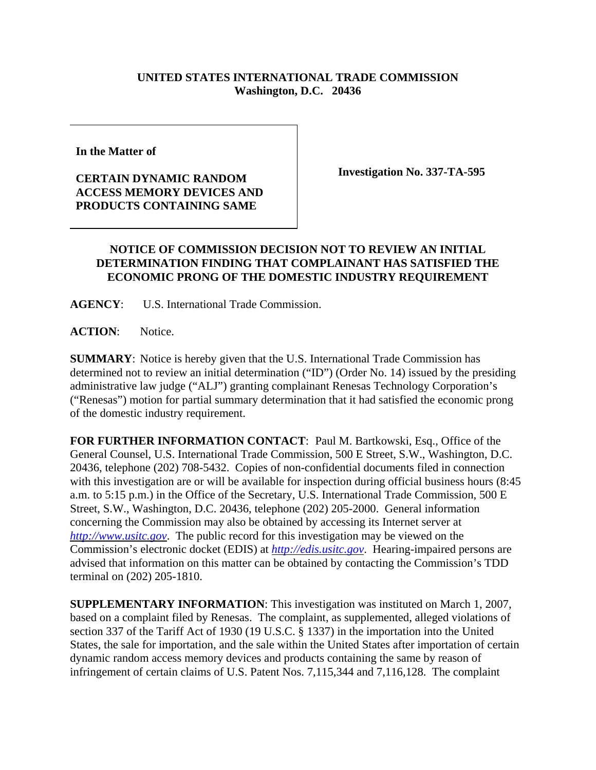## **UNITED STATES INTERNATIONAL TRADE COMMISSION Washington, D.C. 20436**

**In the Matter of** 

## **CERTAIN DYNAMIC RANDOM ACCESS MEMORY DEVICES AND PRODUCTS CONTAINING SAME**

**Investigation No. 337-TA-595**

## **NOTICE OF COMMISSION DECISION NOT TO REVIEW AN INITIAL DETERMINATION FINDING THAT COMPLAINANT HAS SATISFIED THE ECONOMIC PRONG OF THE DOMESTIC INDUSTRY REQUIREMENT**

**AGENCY**: U.S. International Trade Commission.

**ACTION**: Notice.

**SUMMARY**: Notice is hereby given that the U.S. International Trade Commission has determined not to review an initial determination ("ID") (Order No. 14) issued by the presiding administrative law judge ("ALJ") granting complainant Renesas Technology Corporation's ("Renesas") motion for partial summary determination that it had satisfied the economic prong of the domestic industry requirement.

**FOR FURTHER INFORMATION CONTACT**: Paul M. Bartkowski, Esq., Office of the General Counsel, U.S. International Trade Commission, 500 E Street, S.W., Washington, D.C. 20436, telephone (202) 708-5432. Copies of non-confidential documents filed in connection with this investigation are or will be available for inspection during official business hours (8:45 a.m. to 5:15 p.m.) in the Office of the Secretary, U.S. International Trade Commission, 500 E Street, S.W., Washington, D.C. 20436, telephone (202) 205-2000. General information concerning the Commission may also be obtained by accessing its Internet server at *http://www.usitc.gov*. The public record for this investigation may be viewed on the Commission's electronic docket (EDIS) at *http://edis.usitc.gov*. Hearing-impaired persons are advised that information on this matter can be obtained by contacting the Commission's TDD terminal on (202) 205-1810.

**SUPPLEMENTARY INFORMATION**: This investigation was instituted on March 1, 2007, based on a complaint filed by Renesas. The complaint, as supplemented, alleged violations of section 337 of the Tariff Act of 1930 (19 U.S.C. § 1337) in the importation into the United States, the sale for importation, and the sale within the United States after importation of certain dynamic random access memory devices and products containing the same by reason of infringement of certain claims of U.S. Patent Nos. 7,115,344 and 7,116,128. The complaint